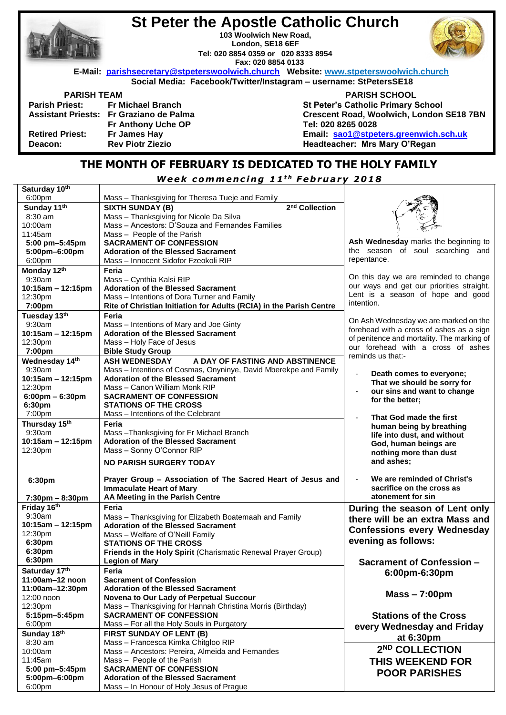|                        | <b>St Peter the Apostle Catholic Church</b>                                          |                                           |  |
|------------------------|--------------------------------------------------------------------------------------|-------------------------------------------|--|
|                        | 103 Woolwich New Road,                                                               |                                           |  |
|                        | London, SE18 6EF                                                                     |                                           |  |
|                        | Tel: 020 8854 0359 or 020 8333 8954                                                  |                                           |  |
|                        | Fax: 020 8854 0133                                                                   |                                           |  |
|                        | E-Mail: parishsecretary@stpeterswoolwich.church Website: www.stpeterswoolwich.church |                                           |  |
|                        | Social Media: Facebook/Twitter/Instagram - username: StPetersSE18                    |                                           |  |
| <b>PARISH TEAM</b>     |                                                                                      | <b>PARISH SCHOOL</b>                      |  |
|                        | Parish Priest: Fr Michael Branch                                                     | <b>St Peter's Catholic Primary School</b> |  |
|                        | Assistant Priests: Fr Graziano de Palma                                              | Crescent Road, Woolwich, London SE18 7BN  |  |
|                        | Fr Anthony Uche OP                                                                   | Tel: 020 8265 0028                        |  |
| <b>Retired Priest:</b> | Fr James Hay                                                                         | Email: sao1@stpeters.greenwich.sch.uk     |  |
| Deacon:                | <b>Rev Piotr Ziezio</b>                                                              | Headteacher: Mrs Mary O'Regan             |  |
|                        |                                                                                      |                                           |  |

# **THE MONTH OF FEBRUARY IS DEDICATED TO THE HOLY FAMILY**

*W e e k c omm e n c i n g 1 1 t h F e b r u a r y 2 0 1 8*

| Saturday 10th                     |                                                                     |                                               |
|-----------------------------------|---------------------------------------------------------------------|-----------------------------------------------|
| 6:00pm                            | Mass - Thanksgiving for Theresa Tueje and Family                    |                                               |
| Sunday 11th                       | 2 <sup>nd</sup> Collection<br><b>SIXTH SUNDAY (B)</b>               |                                               |
| 8:30 am                           | Mass - Thanksgiving for Nicole Da Silva                             |                                               |
| 10:00am                           | Mass - Ancestors: D'Souza and Fernandes Families                    |                                               |
| 11:45am                           | Mass - People of the Parish                                         |                                               |
| 5:00 pm-5:45pm                    | <b>SACRAMENT OF CONFESSION</b>                                      | Ash Wednesday marks the beginning to          |
| 5:00pm-6:00pm                     | <b>Adoration of the Blessed Sacrament</b>                           | the season of soul searching and              |
| 6:00pm                            | Mass - Innocent Sidofor Fzeokoli RIP                                | repentance.                                   |
|                                   |                                                                     |                                               |
| Monday 12th                       | Feria                                                               | On this day we are reminded to change         |
| 9:30am                            | Mass - Cynthia Kalsi RIP                                            | our ways and get our priorities straight.     |
| 10:15am - 12:15pm                 | <b>Adoration of the Blessed Sacrament</b>                           | Lent is a season of hope and good             |
| 12:30pm                           | Mass - Intentions of Dora Turner and Family                         | intention.                                    |
| 7:00pm                            | Rite of Christian Initiation for Adults (RCIA) in the Parish Centre |                                               |
| Tuesday 13th                      | Feria                                                               |                                               |
| 9:30am                            | Mass - Intentions of Mary and Joe Ginty                             | On Ash Wednesday we are marked on the         |
| 10:15am - 12:15pm                 | <b>Adoration of the Blessed Sacrament</b>                           | forehead with a cross of ashes as a sign      |
| 12:30pm                           | Mass - Holy Face of Jesus                                           | of penitence and mortality. The marking of    |
| 7:00pm                            | <b>Bible Study Group</b>                                            | our forehead with a cross of ashes            |
| Wednesday 14th                    | A DAY OF FASTING AND ABSTINENCE<br><b>ASH WEDNESDAY</b>             | reminds us that:-                             |
| 9:30am                            | Mass - Intentions of Cosmas, Onyninye, David Mberekpe and Family    |                                               |
| 10:15am - 12:15pm                 | <b>Adoration of the Blessed Sacrament</b>                           | ÷,<br>Death comes to everyone;                |
|                                   | Mass - Canon William Monk RIP                                       | That we should be sorry for                   |
| 12:30pm                           |                                                                     | our sins and want to change<br>$\blacksquare$ |
| $6:00 \text{pm} - 6:30 \text{pm}$ | <b>SACRAMENT OF CONFESSION</b>                                      | for the better;                               |
| 6:30pm                            | <b>STATIONS OF THE CROSS</b>                                        |                                               |
| 7:00pm                            | Mass - Intentions of the Celebrant                                  | That God made the first                       |
| Thursday 15th                     | Feria                                                               | human being by breathing                      |
| 9:30am                            | Mass-Thanksgiving for Fr Michael Branch                             | life into dust, and without                   |
| 10:15am - 12:15pm                 | <b>Adoration of the Blessed Sacrament</b>                           | God, human beings are                         |
| 12:30pm                           | Mass - Sonny O'Connor RIP                                           | nothing more than dust                        |
|                                   | <b>NO PARISH SURGERY TODAY</b>                                      | and ashes;                                    |
|                                   |                                                                     |                                               |
| 6:30pm                            | Prayer Group - Association of The Sacred Heart of Jesus and         | We are reminded of Christ's                   |
|                                   | <b>Immaculate Heart of Mary</b>                                     | sacrifice on the cross as                     |
|                                   | AA Meeting in the Parish Centre                                     | atonement for sin                             |
| $7:30 \text{pm} - 8:30 \text{pm}$ |                                                                     |                                               |
| Friday 16th                       | Feria                                                               | During the season of Lent only                |
| 9:30am                            | Mass - Thanksgiving for Elizabeth Boatemaah and Family              | there will be an extra Mass and               |
| 10:15am - 12:15pm                 | <b>Adoration of the Blessed Sacrament</b>                           | <b>Confessions every Wednesday</b>            |
| 12:30pm                           | Mass - Welfare of O'Neill Family                                    |                                               |
| 6:30pm                            | <b>STATIONS OF THE CROSS</b>                                        | evening as follows:                           |
| 6:30pm                            | Friends in the Holy Spirit (Charismatic Renewal Prayer Group)       |                                               |
| 6:30pm                            | <b>Legion of Mary</b>                                               | <b>Sacrament of Confession –</b>              |
| Saturday 17th                     | Feria                                                               | 6:00pm-6:30pm                                 |
| 11:00am-12 noon                   | <b>Sacrament of Confession</b>                                      |                                               |
| 11:00am-12:30pm                   | <b>Adoration of the Blessed Sacrament</b>                           |                                               |
| 12:00 noon                        | Novena to Our Lady of Perpetual Succour                             | $Mass - 7:00 \text{pm}$                       |
| 12:30pm                           | Mass - Thanksgiving for Hannah Christina Morris (Birthday)          |                                               |
| 5:15pm-5:45pm                     | <b>SACRAMENT OF CONFESSION</b>                                      | <b>Stations of the Cross</b>                  |
| 6:00pm                            | Mass - For all the Holy Souls in Purgatory                          |                                               |
|                                   |                                                                     | every Wednesday and Friday                    |
| Sunday 18th                       | FIRST SUNDAY OF LENT (B)                                            | at 6:30pm                                     |
| $8:30$ am                         | Mass - Francesca Kimka Chitgloo RIP                                 | 2 <sup>ND</sup> COLLECTION                    |
| 10:00am                           | Mass - Ancestors: Pereira, Almeida and Fernandes                    |                                               |
| 11:45am                           | Mass - People of the Parish                                         | <b>THIS WEEKEND FOR</b>                       |
| 5:00 pm-5:45pm                    | <b>SACRAMENT OF CONFESSION</b>                                      | <b>POOR PARISHES</b>                          |
| 5:00pm-6:00pm                     | <b>Adoration of the Blessed Sacrament</b>                           |                                               |
| 6:00pm                            | Mass - In Honour of Holy Jesus of Prague                            |                                               |